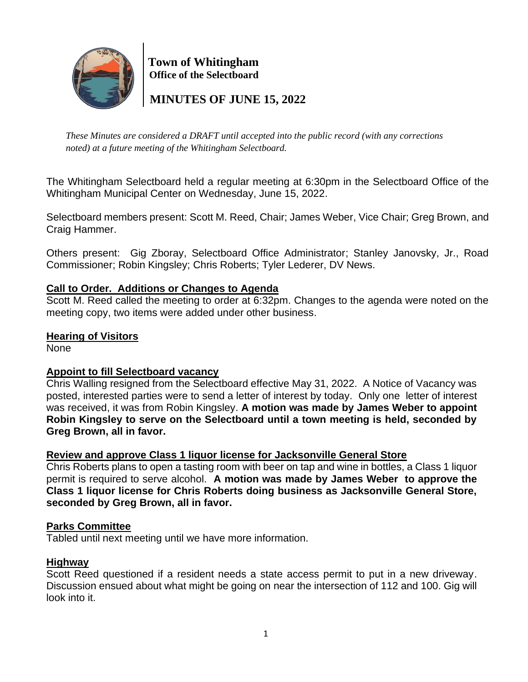

 **Town of Whitingham Office of the Selectboard**

 **MINUTES OF JUNE 15, 2022**

*These Minutes are considered a DRAFT until accepted into the public record (with any corrections noted) at a future meeting of the Whitingham Selectboard.*

The Whitingham Selectboard held a regular meeting at 6:30pm in the Selectboard Office of the Whitingham Municipal Center on Wednesday, June 15, 2022.

Selectboard members present: Scott M. Reed, Chair; James Weber, Vice Chair; Greg Brown, and Craig Hammer.

Others present: Gig Zboray, Selectboard Office Administrator; Stanley Janovsky, Jr., Road Commissioner; Robin Kingsley; Chris Roberts; Tyler Lederer, DV News.

# **Call to Order. Additions or Changes to Agenda**

Scott M. Reed called the meeting to order at 6:32pm. Changes to the agenda were noted on the meeting copy, two items were added under other business.

## **Hearing of Visitors**

None

### **Appoint to fill Selectboard vacancy**

Chris Walling resigned from the Selectboard effective May 31, 2022. A Notice of Vacancy was posted, interested parties were to send a letter of interest by today. Only one letter of interest was received, it was from Robin Kingsley. **A motion was made by James Weber to appoint Robin Kingsley to serve on the Selectboard until a town meeting is held, seconded by Greg Brown, all in favor.** 

### **Review and approve Class 1 liquor license for Jacksonville General Store**

Chris Roberts plans to open a tasting room with beer on tap and wine in bottles, a Class 1 liquor permit is required to serve alcohol. **A motion was made by James Weber to approve the Class 1 liquor license for Chris Roberts doing business as Jacksonville General Store, seconded by Greg Brown, all in favor.**

## **Parks Committee**

Tabled until next meeting until we have more information.

### **Highway**

Scott Reed questioned if a resident needs a state access permit to put in a new driveway. Discussion ensued about what might be going on near the intersection of 112 and 100. Gig will look into it.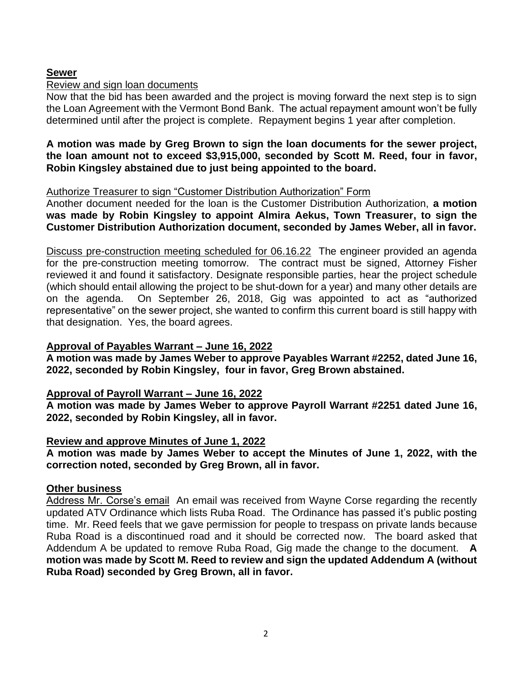## **Sewer**

### Review and sign loan documents

Now that the bid has been awarded and the project is moving forward the next step is to sign the Loan Agreement with the Vermont Bond Bank. The actual repayment amount won't be fully determined until after the project is complete. Repayment begins 1 year after completion.

**A motion was made by Greg Brown to sign the loan documents for the sewer project, the loan amount not to exceed \$3,915,000, seconded by Scott M. Reed, four in favor, Robin Kingsley abstained due to just being appointed to the board.**

### Authorize Treasurer to sign "Customer Distribution Authorization" Form

Another document needed for the loan is the Customer Distribution Authorization, **a motion was made by Robin Kingsley to appoint Almira Aekus, Town Treasurer, to sign the Customer Distribution Authorization document, seconded by James Weber, all in favor.**

Discuss pre-construction meeting scheduled for 06.16.22 The engineer provided an agenda for the pre-construction meeting tomorrow. The contract must be signed, Attorney Fisher reviewed it and found it satisfactory. Designate responsible parties, hear the project schedule (which should entail allowing the project to be shut-down for a year) and many other details are on the agenda. On September 26, 2018, Gig was appointed to act as "authorized representative" on the sewer project, she wanted to confirm this current board is still happy with that designation. Yes, the board agrees.

## **Approval of Payables Warrant – June 16, 2022**

**A motion was made by James Weber to approve Payables Warrant #2252, dated June 16, 2022, seconded by Robin Kingsley, four in favor, Greg Brown abstained.**

# **Approval of Payroll Warrant – June 16, 2022**

**A motion was made by James Weber to approve Payroll Warrant #2251 dated June 16, 2022, seconded by Robin Kingsley, all in favor.**

# **Review and approve Minutes of June 1, 2022**

**A motion was made by James Weber to accept the Minutes of June 1, 2022, with the correction noted, seconded by Greg Brown, all in favor.**

### **Other business**

Address Mr. Corse's email An email was received from Wayne Corse regarding the recently updated ATV Ordinance which lists Ruba Road. The Ordinance has passed it's public posting time. Mr. Reed feels that we gave permission for people to trespass on private lands because Ruba Road is a discontinued road and it should be corrected now. The board asked that Addendum A be updated to remove Ruba Road, Gig made the change to the document. **A motion was made by Scott M. Reed to review and sign the updated Addendum A (without Ruba Road) seconded by Greg Brown, all in favor.**